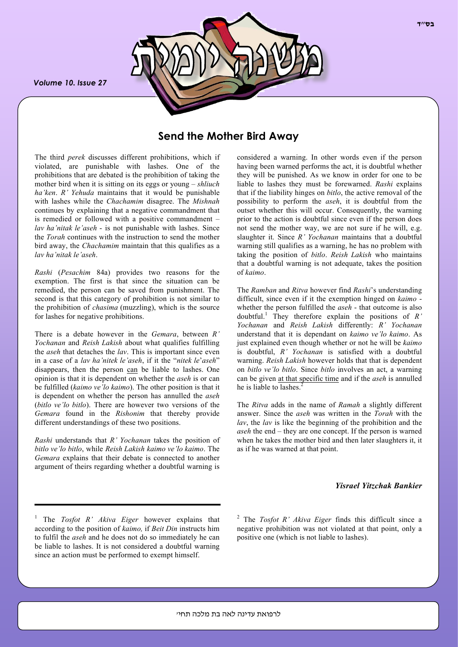*Volume 10. Issue 27*



# **Send the Mother Bird Away**

The third *perek* discusses different prohibitions, which if violated, are punishable with lashes. One of the prohibitions that are debated is the prohibition of taking the mother bird when it is sitting on its eggs or young – *shliuch ha'ken*. *R' Yehuda* maintains that it would be punishable with lashes while the *Chachamim* disagree. The *Mishnah* continues by explaining that a negative commandment that is remedied or followed with a positive commandment – *lav ha'nitak le'aseh* - is not punishable with lashes. Since the *Torah* continues with the instruction to send the mother bird away, the *Chachamim* maintain that this qualifies as a *lav ha'nitak le'aseh*.

*Rashi* (*Pesachim* 84a) provides two reasons for the exemption. The first is that since the situation can be remedied, the person can be saved from punishment. The second is that this category of prohibition is not similar to the prohibition of *chasima* (muzzling), which is the source for lashes for negative prohibitions.

There is a debate however in the *Gemara*, between *R' Yochanan* and *Reish Lakish* about what qualifies fulfilling the *aseh* that detaches the *lav*. This is important since even in a case of a *lav ha'nitek le'aseh*, if it the "*nitek le*'*aseh*" disappears, then the person can be liable to lashes. One opinion is that it is dependent on whether the *aseh* is or can be fulfilled (*kaimo ve'lo kaimo*). The other position is that it is dependent on whether the person has annulled the *aseh* (*bitlo ve'lo bitlo*). There are however two versions of the *Gemara* found in the *Rishonim* that thereby provide different understandings of these two positions.

*Rashi* understands that *R' Yochanan* takes the position of *bitlo ve'lo bitlo*, while *Reish Lakish kaimo ve'lo kaimo*. The *Gemara* explains that their debate is connected to another argument of theirs regarding whether a doubtful warning is

considered a warning. In other words even if the person having been warned performs the act, it is doubtful whether they will be punished. As we know in order for one to be liable to lashes they must be forewarned. *Rashi* explains that if the liability hinges on *bitlo*, the active removal of the possibility to perform the *aseh*, it is doubtful from the outset whether this will occur. Consequently, the warning prior to the action is doubtful since even if the person does not send the mother way, we are not sure if he will, e.g. slaughter it. Since *R' Yochanan* maintains that a doubtful warning still qualifies as a warning, he has no problem with taking the position of *bitlo*. *Reish Lakish* who maintains that a doubtful warning is not adequate, takes the position of *kaimo*.

The *Ramban* and *Ritva* however find *Rashi*'s understanding difficult, since even if it the exemption hinged on *kaimo* whether the person fulfilled the *aseh* - that outcome is also doubtful.<sup>1</sup> They therefore explain the positions of  $R'$ *Yochanan* and *Reish Lakish* differently: *R' Yochanan* understand that it is dependant on *kaimo ve'lo kaimo*. As just explained even though whether or not he will be *kaimo* is doubtful, *R' Yochanan* is satisfied with a doubtful warning. *Reish Lakish* however holds that that is dependent on *bitlo ve'lo bitlo*. Since *bitlo* involves an act, a warning can be given at that specific time and if the *aseh* is annulled he is liable to lashes.<sup>2</sup>

The *Ritva* adds in the name of *Ramah* a slightly different answer. Since the *aseh* was written in the *Torah* with the *lav*, the *lav* is like the beginning of the prohibition and the *aseh* the end – they are one concept. If the person is warned when he takes the mother bird and then later slaughters it, it as if he was warned at that point.

### *Yisrael Yitzchak Bankier*

<sup>1</sup> The *Tosfot R' Akiva Eiger* however explains that according to the position of *kaimo,* if *Beit Din* instructs him to fulfil the *aseh* and he does not do so immediately he can be liable to lashes. It is not considered a doubtful warning since an action must be performed to exempt himself.

<sup>2</sup> The *Tosfot R' Akiva Eiger* finds this difficult since a negative prohibition was not violated at that point, only a positive one (which is not liable to lashes).